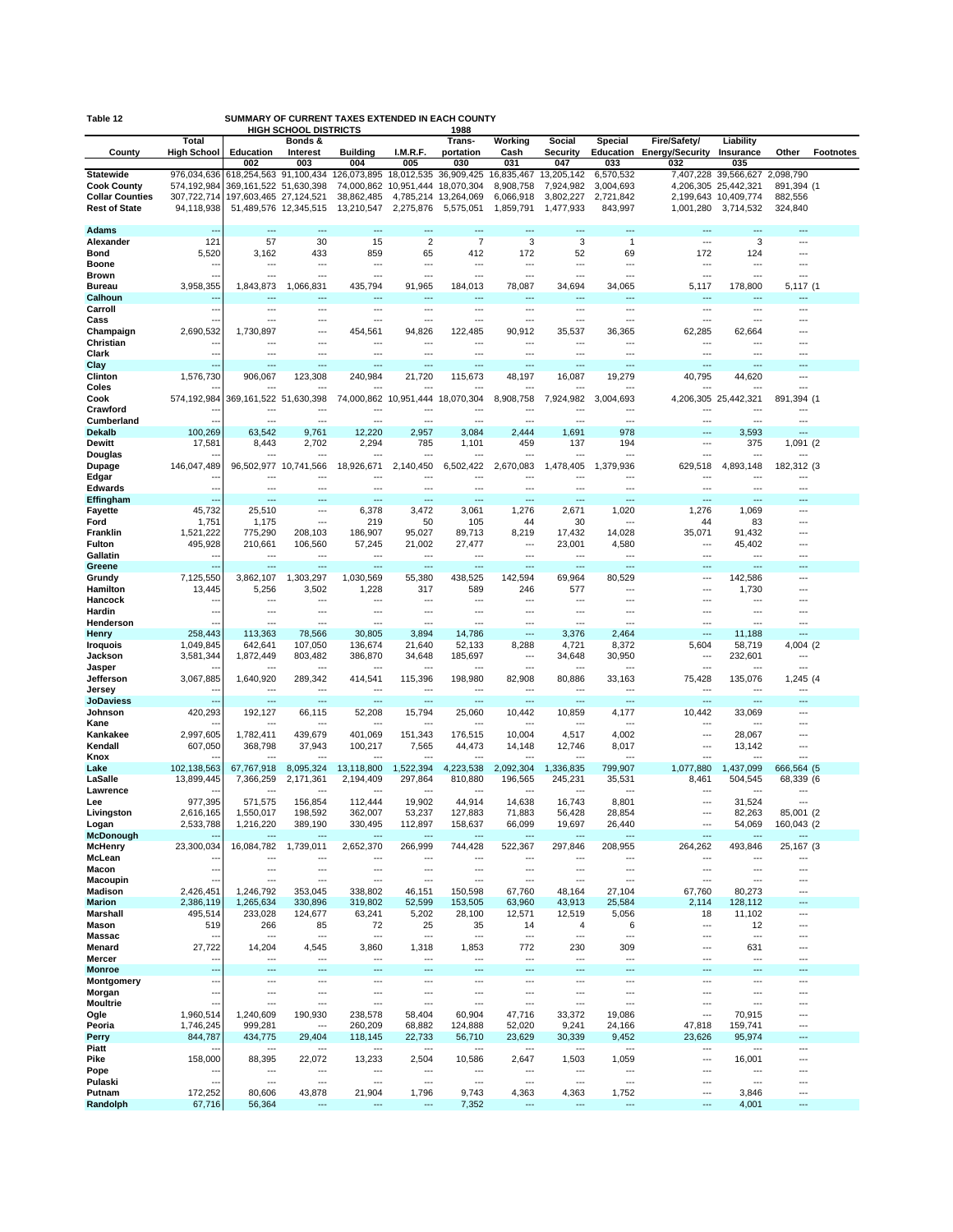| SUMMARY OF CURRENT TAXES EXTENDED IN EACH COUNTY<br>Table 12 |                            |                                                  |                                         |                                                 |                       |                                            |                         |                             |                                       |                                  |                                              |                              |                  |
|--------------------------------------------------------------|----------------------------|--------------------------------------------------|-----------------------------------------|-------------------------------------------------|-----------------------|--------------------------------------------|-------------------------|-----------------------------|---------------------------------------|----------------------------------|----------------------------------------------|------------------------------|------------------|
|                                                              | Total                      |                                                  | <b>HIGH SCHOOL DISTRICTS</b><br>Bonds & |                                                 |                       | 1988<br>Trans-                             | Working                 | Social                      | <b>Special</b>                        | <b>Fire/Safety/</b>              | Liability                                    |                              |                  |
| County                                                       | <b>High School</b>         | Education                                        | Interest                                | <b>Building</b>                                 | I.M.R.F.              | portation                                  | Cash                    | <b>Security</b>             | Education                             | <b>Energy/Security</b>           | Insurance                                    | Other                        | <b>Footnotes</b> |
|                                                              |                            | 002                                              | 003                                     | 004                                             | 005                   | 030                                        | 031                     | 047                         | 033                                   | 032                              | 035                                          |                              |                  |
| <b>Statewide</b><br><b>Cook County</b>                       | 976,034,636<br>574,192,984 | 618,254,563 91,100,434<br>369,161,522 51,630,398 |                                         | 126,073,895 18,012,535<br>74,000,862 10,951,444 |                       | 36,909,425<br>18,070,304                   | 16,835,467<br>8,908,758 | 13,205,142<br>7,924,982     | 6,570,532<br>3,004,693                |                                  | 7,407,228 39,566,627<br>4,206,305 25,442,321 | 2,098,790<br>891,394 (1      |                  |
| <b>Collar Counties</b>                                       | 307,722,714                | 197,603,465 27,124,521                           |                                         | 38,862,485                                      |                       | 4,785,214 13,264,069                       | 6,066,918               | 3,802,227                   | 2,721,842                             |                                  | 2,199,643 10,409,774                         | 882,556                      |                  |
| <b>Rest of State</b>                                         | 94,118,938                 | 51,489,576                                       | 12,345,515                              | 13,210,547                                      | 2,275,876             | 5,575,051                                  | 1,859,791               | 1,477,933                   | 843,997                               | 1,001,280                        | 3,714,532                                    | 324,840                      |                  |
| <b>Adams</b>                                                 |                            | ---                                              | ---                                     | $\overline{a}$                                  |                       |                                            | ш.                      |                             | $\sim$                                |                                  |                                              | ---                          |                  |
| Alexander                                                    | 121                        | 57                                               | 30                                      | 15                                              | $\overline{2}$        | $\overline{7}$                             | 3                       | 3                           | $\mathbf{1}$                          | ---                              | 3                                            | ---                          |                  |
| Bond<br><b>Boone</b>                                         | 5,520<br>٠.                | 3,162<br>---                                     | 433<br>---                              | 859<br>$\overline{\phantom{a}}$                 | 65<br>---             | 412<br>$\overline{a}$                      | 172<br>---              | 52<br>$\overline{a}$        | 69<br>$\overline{a}$                  | 172<br>---                       | 124<br>$\overline{\phantom{a}}$              | ---<br>---                   |                  |
| <b>Brown</b>                                                 | ٠.                         | ---                                              | ---                                     | ---                                             | ---                   | ---                                        | ---                     | ---                         | ---                                   | ---                              | …                                            | ---                          |                  |
| <b>Bureau</b>                                                | 3,958,355                  | 1,843,873                                        | 1,066,831                               | 435,794                                         | 91,965                | 184,013                                    | 78,087                  | 34,694                      | 34,065                                | 5,117                            | 178,800                                      | 5.117 (1                     |                  |
| Calhoun<br>Carroll                                           | ٠.                         | $\overline{a}$                                   | ---<br>---                              | ---<br>$\overline{\phantom{a}}$                 | ---                   | $\overline{a}$<br>$\overline{\phantom{a}}$ | ---                     | $---$<br>---                | $---$<br>---                          | ---                              | $\overline{\phantom{a}}$                     | ---                          |                  |
| Cass                                                         |                            | $\overline{a}$                                   | ---                                     | $\overline{a}$                                  | ---                   | $\overline{a}$                             | ---                     | $\overline{a}$              | $-$                                   | ---                              | $\overline{a}$                               | ---                          |                  |
| Champaign                                                    | 2,690,532                  | 1,730,897                                        | ---                                     | 454,561                                         | 94,826                | 122.485                                    | 90,912                  | 35,537                      | 36,365                                | 62,285                           | 62,664                                       | ---                          |                  |
| Christian<br>Clark                                           |                            | $\overline{a}$                                   | <br>---                                 | $\overline{\phantom{a}}$                        | ---                   | ---                                        | ---                     | ---                         | ---                                   | ---                              |                                              |                              |                  |
| Clay                                                         | н.                         | ---                                              | ---                                     | $\overline{\phantom{a}}$                        | ---                   | $\overline{\phantom{a}}$                   | ---                     | ---                         | ---                                   | ---                              | ---                                          | ---                          |                  |
| Clinton                                                      | 1,576,730                  | 906,067                                          | 123,308                                 | 240,984                                         | 21,720                | 115,673                                    | 48,197                  | 16,087                      | 19,279                                | 40,795                           | 44,620                                       | ---                          |                  |
| Coles<br>Cook                                                | 574,192,984                | 369,161,522 51,630,398                           |                                         | ---<br>74,000,862 10,951,444                    |                       | 18,070,304                                 | 8,908,758               | 7,924,982                   | $--$<br>3,004,693                     |                                  | 4,206,305 25,442,321                         | 891,394 (1                   |                  |
| Crawford                                                     |                            |                                                  | ---                                     | $\overline{\phantom{a}}$                        |                       |                                            |                         | ---                         | ---                                   |                                  |                                              |                              |                  |
| Cumberland<br><b>Dekalb</b>                                  | ц,<br>100,269              | $\overline{a}$<br>63,542                         | ---<br>9,761                            | $\overline{a}$<br>12,220                        | ---<br>2,957          | $\overline{a}$<br>3,084                    | ---<br>2,444            | $\overline{a}$<br>1,691     | $\overline{a}$<br>978                 | ---<br>---                       | $\overline{\phantom{a}}$<br>3,593            | ---<br>$\overline{a}$        |                  |
| Dewitt                                                       | 17,581                     | 8,443                                            | 2,702                                   | 2,294                                           | 785                   | 1,101                                      | 459                     | 137                         | 194                                   | ---                              | 375                                          | 1,091 (2                     |                  |
| Douglas                                                      |                            |                                                  |                                         | $\overline{a}$                                  |                       |                                            |                         |                             | $\sim$                                |                                  | $\sim$                                       |                              |                  |
| Dupage<br>Edgar                                              | 146,047,489<br>٠.          | 96,502,977 10,741,566<br>---                     | ---                                     | 18,926,671<br>$\overline{\phantom{a}}$          | 2,140,450<br>---      | 6,502,422<br>---                           | 2,670,083<br>---        | 1,478,405<br>---            | 1,379,936<br>$\overline{\phantom{a}}$ | 629,518<br>---                   | 4,893,148<br>$\overline{\phantom{a}}$        | 182,312 (3<br>$\overline{a}$ |                  |
| <b>Edwards</b>                                               | ٠.                         | $\overline{a}$                                   | ---                                     | $\overline{\phantom{a}}$                        | ---                   | ---                                        | ---                     | $\overline{a}$              | $\overline{\phantom{a}}$              | ---                              | $\overline{\phantom{a}}$                     | $\overline{a}$               |                  |
| Effingham                                                    | н.                         | ---                                              | ---                                     | $---$                                           | ---                   | ---                                        | ---                     | ---                         | ---                                   | ---                              | ---                                          | ---                          |                  |
| <b>Favette</b><br>Ford                                       | 45,732<br>1,751            | 25,510<br>1,175                                  | ---<br>---                              | 6,378<br>219                                    | 3,472<br>50           | 3,061<br>105                               | 1,276<br>44             | 2,671<br>30                 | 1,020<br>$\sim$                       | 1,276<br>44                      | 1,069<br>83                                  | ---<br>---                   |                  |
| Franklin                                                     | 1,521,222                  | 775,290                                          | 208,103                                 | 186,907                                         | 95,027                | 89,713                                     | 8,219                   | 17,432                      | 14,028                                | 35,071                           | 91,432                                       | ---                          |                  |
| <b>Fulton</b>                                                | 495,928                    | 210,661                                          | 106,560                                 | 57,245                                          | 21,002                | 27,477                                     | ---                     | 23,001                      | 4,580                                 | ---                              | 45,402                                       | $\overline{a}$               |                  |
| Gallatin<br>Greene                                           | ٠.                         | $--$                                             | ---                                     | $\overline{\phantom{a}}$<br>---                 | ---                   | $\overline{a}$                             | ---                     | ---                         | $\overline{\phantom{a}}$<br>÷÷.       | ---                              | $\overline{\phantom{a}}$                     | ---                          |                  |
| Grundy                                                       | 7,125,550                  | 3,862,107                                        | 1,303,297                               | 1,030,569                                       | 55,380                | 438,525                                    | 142,594                 | 69,964                      | 80,529                                | ---                              | 142,586                                      | ---                          |                  |
| Hamilton                                                     | 13,445                     | 5,256                                            | 3,502<br>---                            | 1,228<br>$---$                                  | 317<br>---            | 589<br>---                                 | 246<br>---              | 577<br>---                  | $--$<br>---                           | ---<br>---                       | 1,730                                        | ---<br>---                   |                  |
| Hancock<br>Hardin                                            | ۰.                         | ---                                              | ---                                     | $---$                                           | ---                   | ---                                        | ---                     | ---                         | ---                                   | ---                              | ---                                          | ---                          |                  |
| Henderson                                                    |                            | ---                                              | ---                                     | $\overline{\phantom{a}}$                        | ---                   | ÷÷                                         | ---                     | ---                         | $\overline{a}$                        | …                                | ---                                          | ---                          |                  |
| Henry<br><b>Iroquois</b>                                     | 258,443<br>1,049,845       | 113,363<br>642,641                               | 78,566<br>107,050                       | 30,805<br>136,674                               | 3,894<br>21,640       | 14,786<br>52,133                           | ---<br>8,288            | 3,376<br>4,721              | 2,464<br>8,372                        | ---<br>5,604                     | 11,188<br>58,719                             | ---<br>4,004 (2              |                  |
| Jackson                                                      | 3,581,344                  | 1,872,449                                        | 803,482                                 | 386,870                                         | 34,648                | 185,697                                    | ---                     | 34,648                      | 30,950                                | ---                              | 232,601                                      | ---                          |                  |
| Jasper                                                       |                            | ---                                              | ---                                     | ---                                             |                       |                                            | ---                     |                             | ---                                   | ---                              |                                              | ---                          |                  |
| Jefferson<br>Jersey                                          | 3,067,885                  | 1,640,920<br>$\overline{\phantom{a}}$            | 289,342<br>---                          | 414,541<br>$\overline{\phantom{a}}$             | 115,396<br>---        | 198,980<br>$\overline{a}$                  | 82,908<br>---           | 80,886<br>$\overline{a}$    | 33,163<br>$\overline{\phantom{a}}$    | 75,428<br>---                    | 135,076<br>$\overline{a}$                    | 1,245 (4<br>---              |                  |
| <b>JoDaviess</b>                                             | н.                         | $---$                                            | ---                                     | $---$                                           | ---                   | $\overline{\phantom{a}}$                   | ---                     | ---                         | $---$                                 | ---                              | $\overline{\phantom{a}}$                     | ---                          |                  |
| Johnson<br>Kane                                              | 420,293                    | 192,127<br>---                                   | 66,115<br>---                           | 52,208<br>$\overline{a}$                        | 15,794<br>---         | 25,060<br>---                              | 10,442<br>---           | 10,859<br>$\overline{a}$    | 4,177<br>$\overline{a}$               | 10,442<br>---                    | 33,069<br>…                                  | ---<br>---                   |                  |
| Kankakee                                                     | 2.997.605                  | 1,782,411                                        | 439,679                                 | 401,069                                         | 151.343               | 176,515                                    | 10,004                  | 4,517                       | 4,002                                 | ÷÷.                              | 28,067                                       | ---                          |                  |
| Kendall                                                      | 607,050                    | 368,798                                          | 37,943                                  | 100,217                                         | 7,565                 | 44,473                                     | 14,148                  | 12,746                      | 8,017                                 | ---                              | 13,142                                       | ---                          |                  |
| Knox<br>Lake                                                 | 102,138,563                | 67,767,918                                       | 8,095,324                               | $\overline{a}$<br>13,118,800                    | ---<br>1,522,394      | $\overline{a}$<br>4,223,538                | ---<br>2,092,304        | $\overline{a}$<br>1,336,835 | $\overline{a}$<br>799,907             | ---<br>1,077,880                 | ---<br>1,437,099                             | $\overline{a}$<br>666,564 (5 |                  |
| LaSalle                                                      | 13,899,445                 | 7,366,259                                        | 2,171,361                               | 2,194,409                                       | 297,864               | 810.880                                    | 196,565                 | 245,231                     | 35,531                                | 8,461                            | 504,545                                      | 68,339 (6                    |                  |
| Lawrence                                                     | 977,395                    | 571,575                                          | 156,854                                 | 112.444                                         | 19,902                | 44,914                                     | 14,638                  | 16,743                      | 8,801                                 |                                  | 31,524                                       |                              |                  |
| Lee<br>Livingston                                            | 2,616,165                  | 1,550,017                                        | 198,592                                 | 362,007                                         | 53,237                | 127,883                                    | 71,883                  | 56,428                      | 28,854                                | ---                              | 82,263                                       | 85,001 (2                    |                  |
| Logan                                                        | 2,533,788                  | 1,216,220                                        | 389,190                                 | 330,495                                         | 112,897               | 158,637                                    | 66,099                  | 19,697                      | 26,440                                | ---                              | 54,069                                       | 160,043 (2                   |                  |
| McDonough<br><b>McHenry</b>                                  | 23,300,034                 | ---<br>16,084,782                                | ---<br>1,739,011                        | ---<br>2,652,370                                | 266,999               | ---<br>744,428                             | 522,367                 | 297,846                     | ---<br>208,955                        | ---<br>264,262                   | ---<br>493,846                               | 25,167 (3                    |                  |
| McLean                                                       |                            |                                                  | ---                                     | ---                                             |                       | ---                                        | ---                     | ---                         | ---                                   | ---                              |                                              |                              |                  |
| Macon<br>Macoupin                                            | μ.                         | $\overline{a}$<br>$\overline{a}$                 | ---<br>---                              | $\overline{a}$                                  | ---<br>$\overline{a}$ | $\overline{a}$<br>$\overline{a}$           | $\overline{a}$<br>---   | ---                         | $\overline{a}$<br>$\overline{a}$      | $\overline{a}$<br>$\overline{a}$ | $\overline{\phantom{a}}$<br>$\overline{a}$   | ---                          |                  |
| <b>Madison</b>                                               | 2,426,451                  | 1,246,792                                        | 353,045                                 | $\overline{\phantom{a}}$<br>338,802             | 46,151                | 150,598                                    | 67,760                  | ---<br>48,164               | 27,104                                | 67,760                           | 80,273                                       | ---<br>---                   |                  |
| <b>Marion</b>                                                | 2,386,119                  | 1,265,634                                        | 330,896                                 | 319,802                                         | 52,599                | 153,505                                    | 63,960                  | 43.913                      | 25,584                                | 2,114                            | 128,112                                      | ---                          |                  |
| Marshall<br>Mason                                            | 495,514<br>519             | 233,028<br>266                                   | 124,677<br>85                           | 63,241<br>72                                    | 5,202<br>25           | 28,100<br>35                               | 12,571<br>14            | 12,519<br>4                 | 5,056<br>6                            | 18<br>$\overline{a}$             | 11,102<br>12                                 | ---<br>---                   |                  |
| <b>Massac</b>                                                |                            | $\overline{a}$                                   | ---                                     | $\overline{a}$                                  | ---                   | $\overline{a}$                             | ---                     | $\overline{a}$              | $\overline{a}$                        | ---                              | $\overline{a}$                               | ---                          |                  |
| Menard                                                       | 27,722                     | 14,204                                           | 4,545                                   | 3,860                                           | 1,318                 | 1,853                                      | 772                     | 230                         | 309                                   | ---                              | 631                                          | ---                          |                  |
| Mercer<br><b>Monroe</b>                                      | Ξ.                         | ---<br>---                                       | ---<br>---                              | $\overline{a}$<br>$\overline{\phantom{a}}$      | ---<br>---            | $\overline{a}$<br>---                      | <br>                    | $\overline{a}$<br>---       | $\overline{a}$<br>---                 | ÷÷.<br>---                       | $\overline{\phantom{a}}$<br>$\overline{a}$   | ---<br>---                   |                  |
| Montgomery                                                   | ٠.                         | $\overline{\phantom{a}}$                         | ---                                     | $\overline{\phantom{a}}$                        | $\overline{a}$        | $\overline{\phantom{a}}$                   | ---                     | ---                         | $\overline{a}$                        | ---                              | $\overline{\phantom{a}}$                     | ---                          |                  |
| Morgan                                                       | --                         | $\overline{a}$                                   | ---                                     | $\overline{\phantom{a}}$                        | $\overline{a}$        | $\overline{\phantom{a}}$                   | ---                     | ---                         | $\overline{a}$                        | $\overline{a}$                   | $\overline{\phantom{a}}$                     | ---                          |                  |
| <b>Moultrie</b><br>Ogle                                      | ٠.<br>1,960,514            | $\overline{a}$<br>1,240,609                      | ---<br>190,930                          | $\overline{\phantom{a}}$<br>238,578             | ---<br>58,404         | $\overline{a}$<br>60,904                   | ---<br>47,716           | $\overline{a}$<br>33,372    | $\overline{a}$<br>19,086              | ---<br>---                       | ---<br>70,915                                | ---<br>---                   |                  |
| Peoria                                                       | 1,746,245                  | 999,281                                          | ---                                     | 260,209                                         | 68,882                | 124,888                                    | 52,020                  | 9,241                       | 24,166                                | 47,818                           | 159,741                                      | ---                          |                  |
| Perry                                                        | 844,787                    | 434,775                                          | 29,404                                  | 118,145                                         | 22,733                | 56,710                                     | 23,629                  | 30,339                      | 9,452                                 | 23,626                           | 95,974                                       | ---                          |                  |
| Piatt<br>Pike                                                | 158,000                    | 88,395                                           | ---<br>22,072                           | $\overline{\phantom{a}}$<br>13,233              | ---<br>2,504          | ---<br>10,586                              | ---<br>2,647            | ---<br>1,503                | ---<br>1,059                          | ---<br>---                       | ---<br>16,001                                | ---<br>---                   |                  |
| Pope                                                         |                            | ---                                              | ---                                     | $\overline{\phantom{a}}$                        | ---                   | ---                                        | ---                     | ---                         |                                       | ---                              | ---                                          | ---                          |                  |
| Pulaski<br>Putnam                                            | 172,252                    | ---<br>80,606                                    | ---<br>43,878                           | ---<br>21,904                                   | ---<br>1,796          | ---<br>9,743                               | ---<br>4,363            | ---<br>4,363                | ---<br>1,752                          | ---<br>$\overline{a}$            | ---<br>3,846                                 | ---<br>---                   |                  |
| Randolph                                                     | 67,716                     | 56,364                                           |                                         | ---                                             | ---                   | 7,352                                      | ---                     | ---                         | $\overline{\phantom{a}}$              | ---                              | 4,001                                        | ---                          |                  |